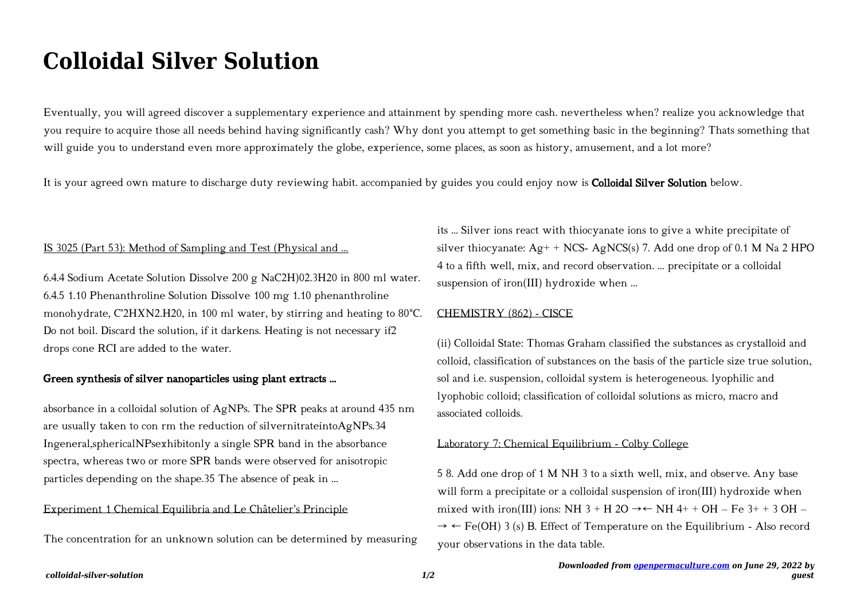# **Colloidal Silver Solution**

Eventually, you will agreed discover a supplementary experience and attainment by spending more cash. nevertheless when? realize you acknowledge that you require to acquire those all needs behind having significantly cash? Why dont you attempt to get something basic in the beginning? Thats something that will guide you to understand even more approximately the globe, experience, some places, as soon as history, amusement, and a lot more?

It is your agreed own mature to discharge duty reviewing habit. accompanied by guides you could enjoy now is **Colloidal Silver Solution** below.

## IS 3025 (Part 53): Method of Sampling and Test (Physical and …

6.4.4 Sodium Acetate Solution Dissolve 200 g NaC2H)02.3H20 in 800 ml water. 6.4.5 1.10 Phenanthroline Solution Dissolve 100 mg 1.10 phenanthroline monohydrate, C'2HXN2.H20, in 100 ml water, by stirring and heating to 80°C. Do not boil. Discard the solution, if it darkens. Heating is not necessary if2 drops cone RCI are added to the water.

## Green synthesis of silver nanoparticles using plant extracts …

absorbance in a colloidal solution of AgNPs. The SPR peaks at around 435 nm are usually taken to con rm the reduction of silvernitrateintoAgNPs.34 Ingeneral,sphericalNPsexhibitonly a single SPR band in the absorbance spectra, whereas two or more SPR bands were observed for anisotropic particles depending on the shape.35 The absence of peak in ...

## Experiment 1 Chemical Equilibria and Le Châtelier's Principle

The concentration for an unknown solution can be determined by measuring

its ... Silver ions react with thiocyanate ions to give a white precipitate of silver thiocyanate:  $Ag+ + NCS- AgNCS(s)$  7. Add one drop of 0.1 M Na 2 HPO 4 to a fifth well, mix, and record observation. ... precipitate or a colloidal suspension of iron(III) hydroxide when ...

#### CHEMISTRY (862) - CISCE

(ii) Colloidal State: Thomas Graham classified the substances as crystalloid and colloid, classification of substances on the basis of the particle size true solution, sol and i.e. suspension, colloidal system is heterogeneous. lyophilic and lyophobic colloid; classification of colloidal solutions as micro, macro and associated colloids.

#### Laboratory 7: Chemical Equilibrium - Colby College

5 8. Add one drop of 1 M NH 3 to a sixth well, mix, and observe. Any base will form a precipitate or a colloidal suspension of iron(III) hydroxide when mixed with iron(III) ions: NH 3 + H 2O  $\rightarrow \leftarrow$  NH 4+ + OH – Fe 3+ + 3 OH –  $\rightarrow \leftarrow$  Fe(OH) 3 (s) B. Effect of Temperature on the Equilibrium - Also record your observations in the data table.